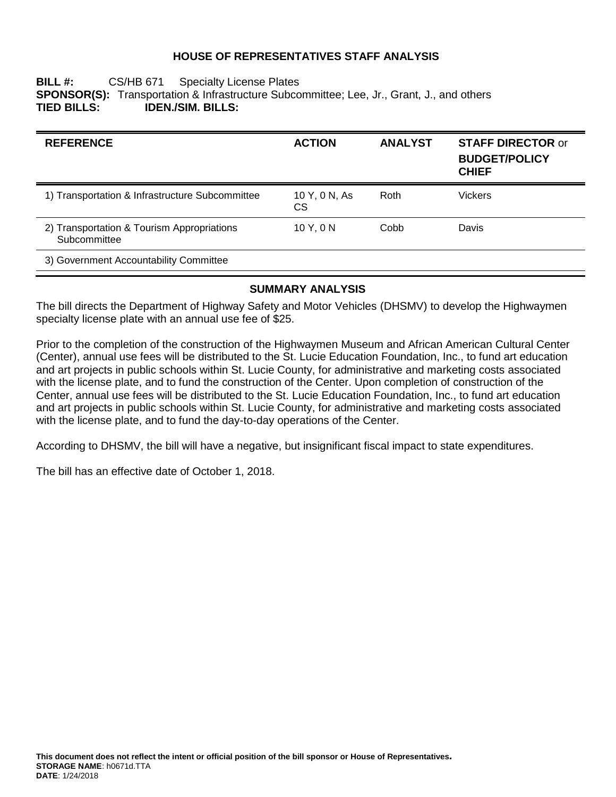## **HOUSE OF REPRESENTATIVES STAFF ANALYSIS**

### **BILL #:** CS/HB 671 Specialty License Plates **SPONSOR(S):** Transportation & Infrastructure Subcommittee; Lee, Jr., Grant, J., and others **TIED BILLS: IDEN./SIM. BILLS:**

| <b>REFERENCE</b>                                           | <b>ACTION</b>        | <b>ANALYST</b> | <b>STAFF DIRECTOR or</b><br><b>BUDGET/POLICY</b><br><b>CHIEF</b> |
|------------------------------------------------------------|----------------------|----------------|------------------------------------------------------------------|
| 1) Transportation & Infrastructure Subcommittee            | 10 Y, 0 N, As<br>CS. | Roth           | Vickers                                                          |
| 2) Transportation & Tourism Appropriations<br>Subcommittee | 10Y, 0N              | Cobb           | Davis                                                            |
| 3) Government Accountability Committee                     |                      |                |                                                                  |

## **SUMMARY ANALYSIS**

The bill directs the Department of Highway Safety and Motor Vehicles (DHSMV) to develop the Highwaymen specialty license plate with an annual use fee of \$25.

Prior to the completion of the construction of the Highwaymen Museum and African American Cultural Center (Center), annual use fees will be distributed to the St. Lucie Education Foundation, Inc., to fund art education and art projects in public schools within St. Lucie County, for administrative and marketing costs associated with the license plate, and to fund the construction of the Center. Upon completion of construction of the Center, annual use fees will be distributed to the St. Lucie Education Foundation, Inc., to fund art education and art projects in public schools within St. Lucie County, for administrative and marketing costs associated with the license plate, and to fund the day-to-day operations of the Center.

According to DHSMV, the bill will have a negative, but insignificant fiscal impact to state expenditures.

The bill has an effective date of October 1, 2018.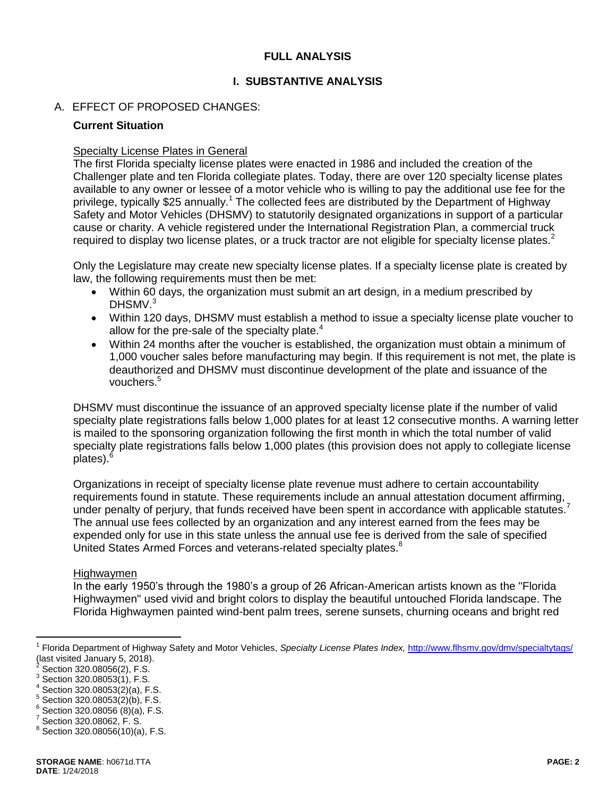## **FULL ANALYSIS**

## **I. SUBSTANTIVE ANALYSIS**

## A. EFFECT OF PROPOSED CHANGES:

### **Current Situation**

### Specialty License Plates in General

The first Florida specialty license plates were enacted in 1986 and included the creation of the Challenger plate and ten Florida collegiate plates. Today, there are over 120 specialty license plates available to any owner or lessee of a motor vehicle who is willing to pay the additional use fee for the privilege, typically \$25 annually.<sup>1</sup> The collected fees are distributed by the Department of Highway Safety and Motor Vehicles (DHSMV) to statutorily designated organizations in support of a particular cause or charity. A vehicle registered under the International Registration Plan, a commercial truck required to display two license plates, or a truck tractor are not eligible for specialty license plates.<sup>2</sup>

Only the Legislature may create new specialty license plates. If a specialty license plate is created by law, the following requirements must then be met:

- Within 60 days, the organization must submit an art design, in a medium prescribed by DHSMV.<sup>3</sup>
- Within 120 days, DHSMV must establish a method to issue a specialty license plate voucher to allow for the pre-sale of the specialty plate. $4$
- Within 24 months after the voucher is established, the organization must obtain a minimum of 1,000 voucher sales before manufacturing may begin. If this requirement is not met, the plate is deauthorized and DHSMV must discontinue development of the plate and issuance of the vouchers.<sup>5</sup>

DHSMV must discontinue the issuance of an approved specialty license plate if the number of valid specialty plate registrations falls below 1,000 plates for at least 12 consecutive months. A warning letter is mailed to the sponsoring organization following the first month in which the total number of valid specialty plate registrations falls below 1,000 plates (this provision does not apply to collegiate license plates). $<sup>6</sup>$ </sup>

Organizations in receipt of specialty license plate revenue must adhere to certain accountability requirements found in statute. These requirements include an annual attestation document affirming, under penalty of perjury, that funds received have been spent in accordance with applicable statutes.<sup>7</sup> The annual use fees collected by an organization and any interest earned from the fees may be expended only for use in this state unless the annual use fee is derived from the sale of specified United States Armed Forces and veterans-related specialty plates.<sup>8</sup>

#### Highwaymen

In the early 1950's through the 1980's a group of 26 African-American artists known as the "Florida Highwaymen" used vivid and bright colors to display the beautiful untouched Florida landscape. The Florida Highwaymen painted wind-bent palm trees, serene sunsets, churning oceans and bright red

 $\overline{a}$ 

<sup>&</sup>lt;sup>1</sup> Florida Department of Highway Safety and Motor Vehicles, *Specialty License Plates Index,* <http://www.flhsmv.gov/dmv/specialtytags/> (last visited January 5, 2018).

<sup>2</sup> Section 320.08056(2), F.S.

 $3$  Section 320.08053(1), F.S.

 $4$  Section 320.08053(2)(a), F.S.

 $5$  Section 320.08053(2)(b), F.S.

 $6$  Section 320.08056 (8)(a), F.S.

<sup>7</sup> Section 320.08062, F. S.

 $8$  Section 320.08056(10)(a), F.S.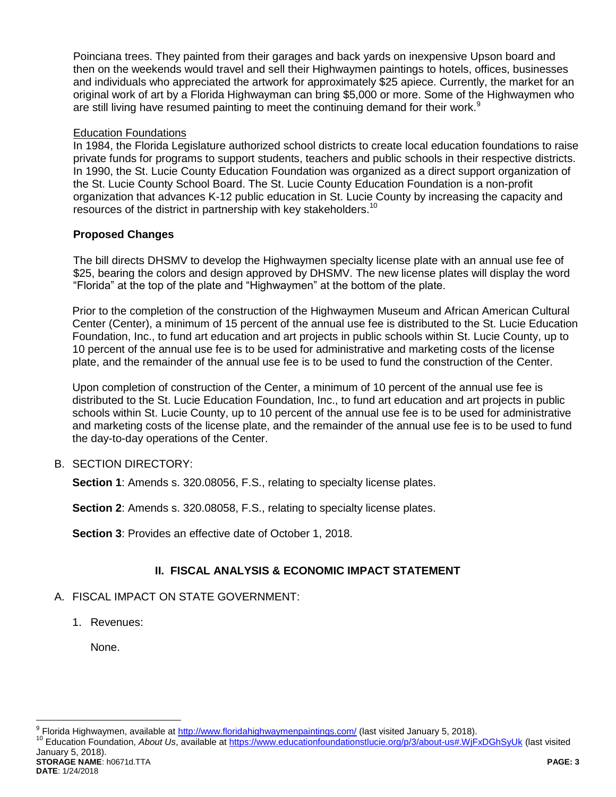Poinciana trees. They painted from their garages and back yards on inexpensive Upson board and then on the weekends would travel and sell their Highwaymen paintings to hotels, offices, businesses and individuals who appreciated the artwork for approximately \$25 apiece. Currently, the market for an original work of art by a Florida Highwayman can bring \$5,000 or more. Some of the Highwaymen who are still living have resumed painting to meet the continuing demand for their work. $9$ 

## Education Foundations

In 1984, the Florida Legislature authorized school districts to create local education foundations to raise private funds for programs to support students, teachers and public schools in their respective districts. In 1990, the St. Lucie County Education Foundation was organized as a direct support organization of the St. Lucie County School Board. The St. Lucie County Education Foundation is a non-profit organization that advances K-12 public education in St. Lucie County by increasing the capacity and resources of the district in partnership with key stakeholders.<sup>10</sup>

## **Proposed Changes**

The bill directs DHSMV to develop the Highwaymen specialty license plate with an annual use fee of \$25, bearing the colors and design approved by DHSMV. The new license plates will display the word "Florida" at the top of the plate and "Highwaymen" at the bottom of the plate.

Prior to the completion of the construction of the Highwaymen Museum and African American Cultural Center (Center), a minimum of 15 percent of the annual use fee is distributed to the St. Lucie Education Foundation, Inc., to fund art education and art projects in public schools within St. Lucie County, up to 10 percent of the annual use fee is to be used for administrative and marketing costs of the license plate, and the remainder of the annual use fee is to be used to fund the construction of the Center.

Upon completion of construction of the Center, a minimum of 10 percent of the annual use fee is distributed to the St. Lucie Education Foundation, Inc., to fund art education and art projects in public schools within St. Lucie County, up to 10 percent of the annual use fee is to be used for administrative and marketing costs of the license plate, and the remainder of the annual use fee is to be used to fund the day-to-day operations of the Center.

## B. SECTION DIRECTORY:

**Section 1**: Amends s. 320.08056, F.S., relating to specialty license plates.

**Section 2**: Amends s. 320.08058, F.S., relating to specialty license plates.

**Section 3**: Provides an effective date of October 1, 2018.

# **II. FISCAL ANALYSIS & ECONOMIC IMPACT STATEMENT**

## A. FISCAL IMPACT ON STATE GOVERNMENT:

1. Revenues:

None.

**STORAGE NAME**: h0671d.TTA **PAGE: 3 DATE**: 1/24/2018

<sup>&</sup>lt;u>。</u><br>Prlorida Highwaymen, available at <u>http://www.floridahighwaymenpaintings.com/</u> (last visited January 5, 2018).

<sup>10</sup> Education Foundation, *About Us*, available at<https://www.educationfoundationstlucie.org/p/3/about-us#.WjFxDGhSyUk> (last visited January 5, 2018).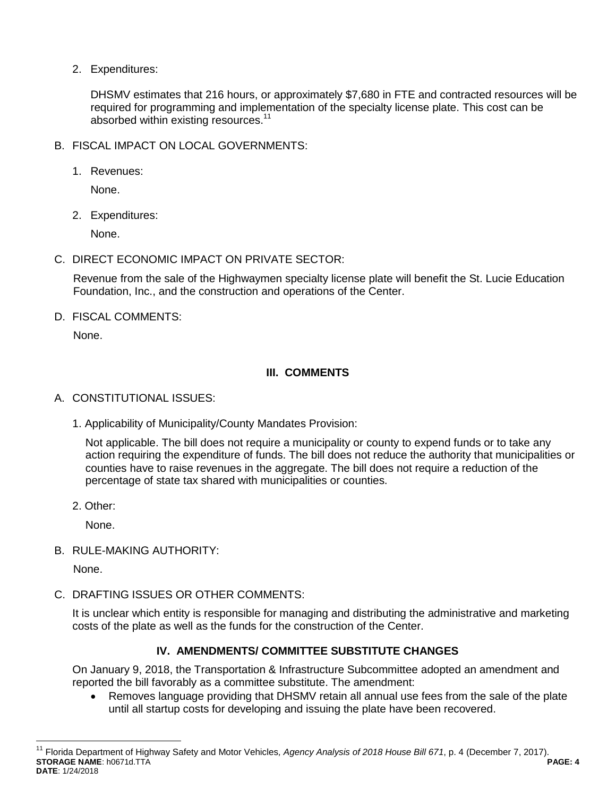2. Expenditures:

DHSMV estimates that 216 hours, or approximately \$7,680 in FTE and contracted resources will be required for programming and implementation of the specialty license plate. This cost can be absorbed within existing resources.<sup>11</sup>

- B. FISCAL IMPACT ON LOCAL GOVERNMENTS:
	- 1. Revenues:

None.

2. Expenditures:

None.

C. DIRECT ECONOMIC IMPACT ON PRIVATE SECTOR:

Revenue from the sale of the Highwaymen specialty license plate will benefit the St. Lucie Education Foundation, Inc., and the construction and operations of the Center.

D. FISCAL COMMENTS:

None.

# **III. COMMENTS**

- A. CONSTITUTIONAL ISSUES:
	- 1. Applicability of Municipality/County Mandates Provision:

Not applicable. The bill does not require a municipality or county to expend funds or to take any action requiring the expenditure of funds. The bill does not reduce the authority that municipalities or counties have to raise revenues in the aggregate. The bill does not require a reduction of the percentage of state tax shared with municipalities or counties.

2. Other:

None.

B. RULE-MAKING AUTHORITY:

None.

 $\overline{a}$ 

C. DRAFTING ISSUES OR OTHER COMMENTS:

It is unclear which entity is responsible for managing and distributing the administrative and marketing costs of the plate as well as the funds for the construction of the Center.

# **IV. AMENDMENTS/ COMMITTEE SUBSTITUTE CHANGES**

On January 9, 2018, the Transportation & Infrastructure Subcommittee adopted an amendment and reported the bill favorably as a committee substitute. The amendment:

 Removes language providing that DHSMV retain all annual use fees from the sale of the plate until all startup costs for developing and issuing the plate have been recovered.

**STORAGE NAME**: h0671d.TTA **PAGE: 4 DATE**: 1/24/2018 <sup>11</sup> Florida Department of Highway Safety and Motor Vehicles, Agency Analysis of 2018 House Bill 671, p. 4 (December 7, 2017).